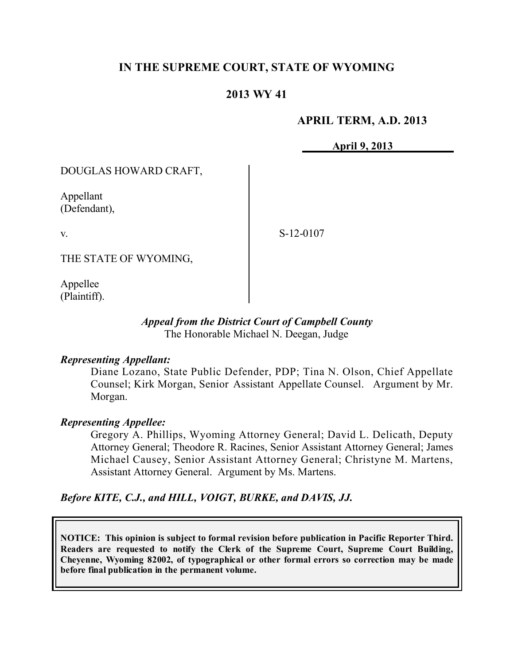# **IN THE SUPREME COURT, STATE OF WYOMING**

# **2013 WY 41**

## **APRIL TERM, A.D. 2013**

**April 9, 2013**

DOUGLAS HOWARD CRAFT,

Appellant (Defendant),

v.

S-12-0107

THE STATE OF WYOMING,

Appellee (Plaintiff).

### *Appeal from the District Court of Campbell County* The Honorable Michael N. Deegan, Judge

### *Representing Appellant:*

Diane Lozano, State Public Defender, PDP; Tina N. Olson, Chief Appellate Counsel; Kirk Morgan, Senior Assistant Appellate Counsel. Argument by Mr. Morgan.

### *Representing Appellee:*

Gregory A. Phillips, Wyoming Attorney General; David L. Delicath, Deputy Attorney General; Theodore R. Racines, Senior Assistant Attorney General; James Michael Causey, Senior Assistant Attorney General; Christyne M. Martens, Assistant Attorney General. Argument by Ms. Martens.

*Before KITE, C.J., and HILL, VOIGT, BURKE, and DAVIS, JJ.*

**NOTICE: This opinion is subject to formal revision before publication in Pacific Reporter Third. Readers are requested to notify the Clerk of the Supreme Court, Supreme Court Building, Cheyenne, Wyoming 82002, of typographical or other formal errors so correction may be made before final publication in the permanent volume.**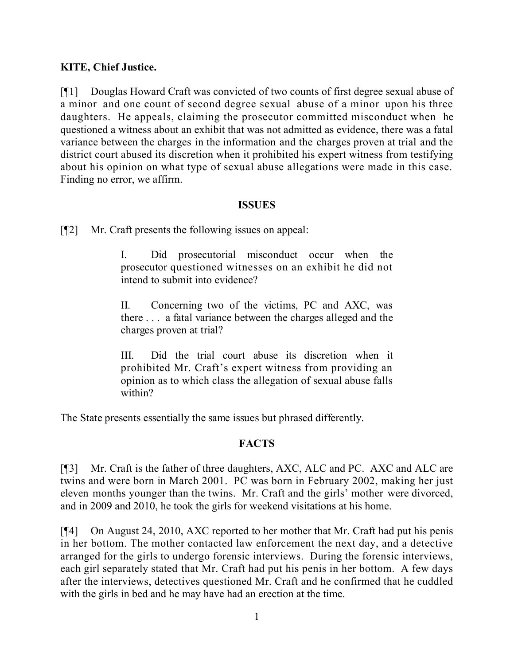# **KITE, Chief Justice.**

[¶1] Douglas Howard Craft was convicted of two counts of first degree sexual abuse of a minor and one count of second degree sexual abuse of a minor upon his three daughters. He appeals, claiming the prosecutor committed misconduct when he questioned a witness about an exhibit that was not admitted as evidence, there was a fatal variance between the charges in the information and the charges proven at trial and the district court abused its discretion when it prohibited his expert witness from testifying about his opinion on what type of sexual abuse allegations were made in this case. Finding no error, we affirm.

## **ISSUES**

[¶2] Mr. Craft presents the following issues on appeal:

I. Did prosecutorial misconduct occur when the prosecutor questioned witnesses on an exhibit he did not intend to submit into evidence?

II. Concerning two of the victims, PC and AXC, was there . . . a fatal variance between the charges alleged and the charges proven at trial?

III. Did the trial court abuse its discretion when it prohibited Mr. Craft's expert witness from providing an opinion as to which class the allegation of sexual abuse falls within?

The State presents essentially the same issues but phrased differently.

# **FACTS**

[¶3] Mr. Craft is the father of three daughters, AXC, ALC and PC. AXC and ALC are twins and were born in March 2001. PC was born in February 2002, making her just eleven months younger than the twins. Mr. Craft and the girls' mother were divorced, and in 2009 and 2010, he took the girls for weekend visitations at his home.

[¶4] On August 24, 2010, AXC reported to her mother that Mr. Craft had put his penis in her bottom. The mother contacted law enforcement the next day, and a detective arranged for the girls to undergo forensic interviews. During the forensic interviews, each girl separately stated that Mr. Craft had put his penis in her bottom. A few days after the interviews, detectives questioned Mr. Craft and he confirmed that he cuddled with the girls in bed and he may have had an erection at the time.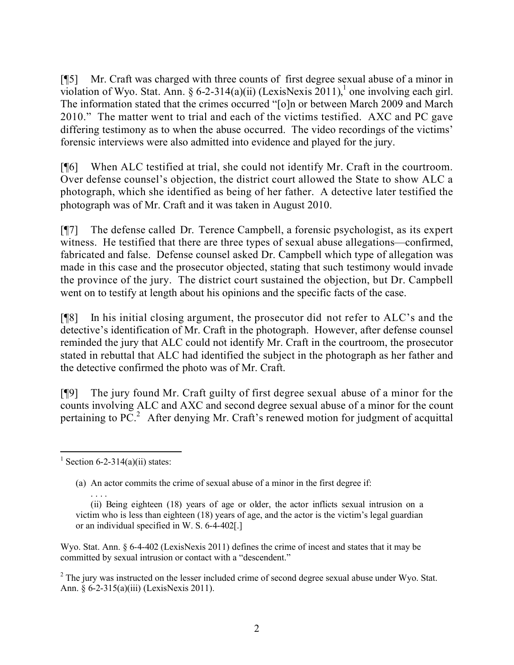[¶5] Mr. Craft was charged with three counts of first degree sexual abuse of a minor in violation of Wyo. Stat. Ann. § 6-2-314(a)(ii) (LexisNexis 2011),<sup>1</sup> one involving each girl. The information stated that the crimes occurred "[o]n or between March 2009 and March 2010." The matter went to trial and each of the victims testified. AXC and PC gave differing testimony as to when the abuse occurred. The video recordings of the victims' forensic interviews were also admitted into evidence and played for the jury.

[¶6] When ALC testified at trial, she could not identify Mr. Craft in the courtroom. Over defense counsel's objection, the district court allowed the State to show ALC a photograph, which she identified as being of her father. A detective later testified the photograph was of Mr. Craft and it was taken in August 2010.

[¶7] The defense called Dr. Terence Campbell, a forensic psychologist, as its expert witness. He testified that there are three types of sexual abuse allegations—confirmed, fabricated and false. Defense counsel asked Dr. Campbell which type of allegation was made in this case and the prosecutor objected, stating that such testimony would invade the province of the jury. The district court sustained the objection, but Dr. Campbell went on to testify at length about his opinions and the specific facts of the case.

[¶8] In his initial closing argument, the prosecutor did not refer to ALC's and the detective's identification of Mr. Craft in the photograph. However, after defense counsel reminded the jury that ALC could not identify Mr. Craft in the courtroom, the prosecutor stated in rebuttal that ALC had identified the subject in the photograph as her father and the detective confirmed the photo was of Mr. Craft.

[¶9] The jury found Mr. Craft guilty of first degree sexual abuse of a minor for the counts involving ALC and AXC and second degree sexual abuse of a minor for the count pertaining to  $\overline{PC}^2$ . After denying Mr. Craft's renewed motion for judgment of acquittal

Wyo. Stat. Ann. § 6-4-402 (LexisNexis 2011) defines the crime of incest and states that it may be committed by sexual intrusion or contact with a "descendent."

<sup>2</sup> The jury was instructed on the lesser included crime of second degree sexual abuse under Wyo. Stat. Ann. § 6-2-315(a)(iii) (LexisNexis 2011).

 $\overline{a}$ <sup>1</sup> Section 6-2-314(a)(ii) states:

<sup>(</sup>a) An actor commits the crime of sexual abuse of a minor in the first degree if:

<sup>. . .</sup> . (ii) Being eighteen (18) years of age or older, the actor inflicts sexual intrusion on a victim who is less than eighteen (18) years of age, and the actor is the victim's legal guardian or an individual specified in W. S. 6-4-402[.]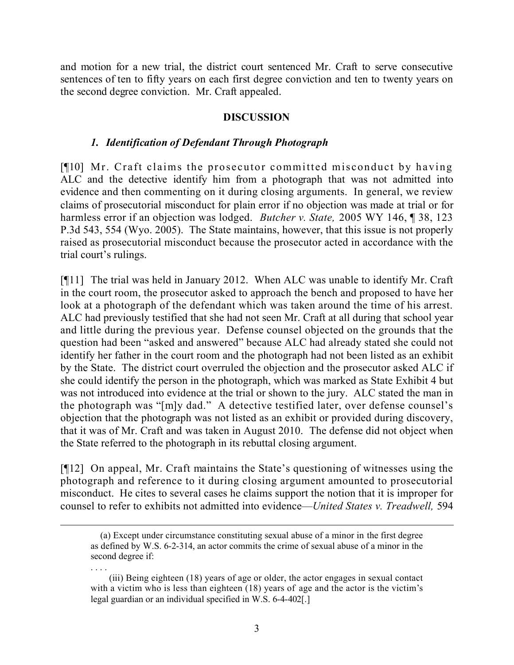and motion for a new trial, the district court sentenced Mr. Craft to serve consecutive sentences of ten to fifty years on each first degree conviction and ten to twenty years on the second degree conviction. Mr. Craft appealed.

# **DISCUSSION**

## *1. Identification of Defendant Through Photograph*

[¶10] Mr. Craft claims the prosecutor committed misconduct by having ALC and the detective identify him from a photograph that was not admitted into evidence and then commenting on it during closing arguments. In general, we review claims of prosecutorial misconduct for plain error if no objection was made at trial or for harmless error if an objection was lodged. *Butcher v. State,* 2005 WY 146, ¶ 38, 123 P.3d 543, 554 (Wyo. 2005). The State maintains, however, that this issue is not properly raised as prosecutorial misconduct because the prosecutor acted in accordance with the trial court's rulings.

[¶11] The trial was held in January 2012. When ALC was unable to identify Mr. Craft in the court room, the prosecutor asked to approach the bench and proposed to have her look at a photograph of the defendant which was taken around the time of his arrest. ALC had previously testified that she had not seen Mr. Craft at all during that school year and little during the previous year. Defense counsel objected on the grounds that the question had been "asked and answered" because ALC had already stated she could not identify her father in the court room and the photograph had not been listed as an exhibit by the State. The district court overruled the objection and the prosecutor asked ALC if she could identify the person in the photograph, which was marked as State Exhibit 4 but was not introduced into evidence at the trial or shown to the jury. ALC stated the man in the photograph was "[m]y dad." A detective testified later, over defense counsel's objection that the photograph was not listed as an exhibit or provided during discovery, that it was of Mr. Craft and was taken in August 2010. The defense did not object when the State referred to the photograph in its rebuttal closing argument.

[¶12] On appeal, Mr. Craft maintains the State's questioning of witnesses using the photograph and reference to it during closing argument amounted to prosecutorial misconduct. He cites to several cases he claims support the notion that it is improper for counsel to refer to exhibits not admitted into evidence—*United States v. Treadwell,* 594

 $\overline{a}$ 

 <sup>(</sup>a) Except under circumstance constituting sexual abuse of a minor in the first degree as defined by W.S. 6-2-314, an actor commits the crime of sexual abuse of a minor in the second degree if:

<sup>. . . .</sup> (iii) Being eighteen (18) years of age or older, the actor engages in sexual contact with a victim who is less than eighteen (18) years of age and the actor is the victim's legal guardian or an individual specified in W.S. 6-4-402[.]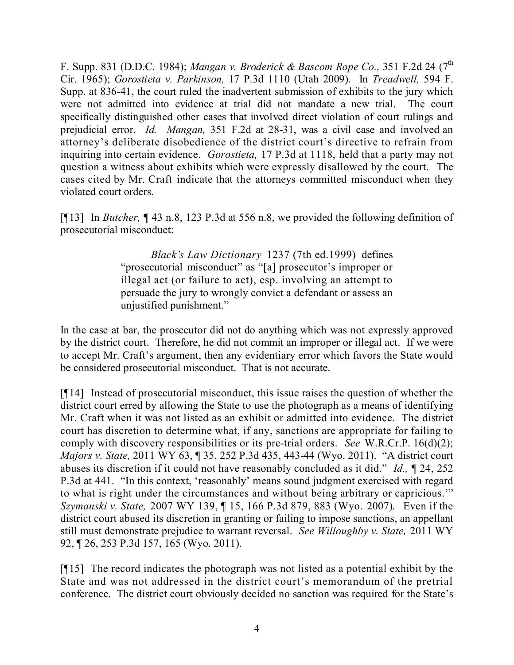F. Supp. 831 (D.D.C. 1984); *Mangan v. Broderick & Bascom Rope Co.,* 351 F.2d 24 (7 th Cir. 1965); *Gorostieta v. Parkinson,* 17 P.3d 1110 (Utah 2009). In *Treadwell,* 594 F. Supp. at 836-41, the court ruled the inadvertent submission of exhibits to the jury which were not admitted into evidence at trial did not mandate a new trial. The court specifically distinguished other cases that involved direct violation of court rulings and prejudicial error. *Id. Mangan,* 351 F.2d at 28-31, was a civil case and involved an attorney's deliberate disobedience of the district court's directive to refrain from inquiring into certain evidence. *Gorostieta,* 17 P.3d at 1118, held that a party may not question a witness about exhibits which were expressly disallowed by the court. The cases cited by Mr. Craft indicate that the attorneys committed misconduct when they violated court orders.

[¶13] In *Butcher,* ¶ 43 n.8, 123 P.3d at 556 n.8, we provided the following definition of prosecutorial misconduct:

> *Black's Law Dictionary* 1237 (7th ed.1999) defines "prosecutorial misconduct" as "[a] prosecutor's improper or illegal act (or failure to act), esp. involving an attempt to persuade the jury to wrongly convict a defendant or assess an unjustified punishment."

In the case at bar, the prosecutor did not do anything which was not expressly approved by the district court. Therefore, he did not commit an improper or illegal act. If we were to accept Mr. Craft's argument, then any evidentiary error which favors the State would be considered prosecutorial misconduct. That is not accurate.

[¶14] Instead of prosecutorial misconduct, this issue raises the question of whether the district court erred by allowing the State to use the photograph as a means of identifying Mr. Craft when it was not listed as an exhibit or admitted into evidence. The district court has discretion to determine what, if any, sanctions are appropriate for failing to comply with discovery responsibilities or its pre-trial orders. *See* W.R.Cr.P. 16(d)(2); *Majors v. State,* 2011 WY 63, ¶ 35, 252 P.3d 435, 443-44 (Wyo. 2011). "A district court abuses its discretion if it could not have reasonably concluded as it did." *Id.,* ¶ 24, 252 P.3d at 441. "In this context, 'reasonably' means sound judgment exercised with regard to what is right under the circumstances and without being arbitrary or capricious.'" *Szymanski v. State,* 2007 WY 139, ¶ 15, 166 P.3d 879, 883 (Wyo. 2007). Even if the district court abused its discretion in granting or failing to impose sanctions, an appellant still must demonstrate prejudice to warrant reversal. *See Willoughby v. State,* 2011 WY 92, ¶ 26, 253 P.3d 157, 165 (Wyo. 2011).

[¶15] The record indicates the photograph was not listed as a potential exhibit by the State and was not addressed in the district court's memorandum of the pretrial conference. The district court obviously decided no sanction was required for the State's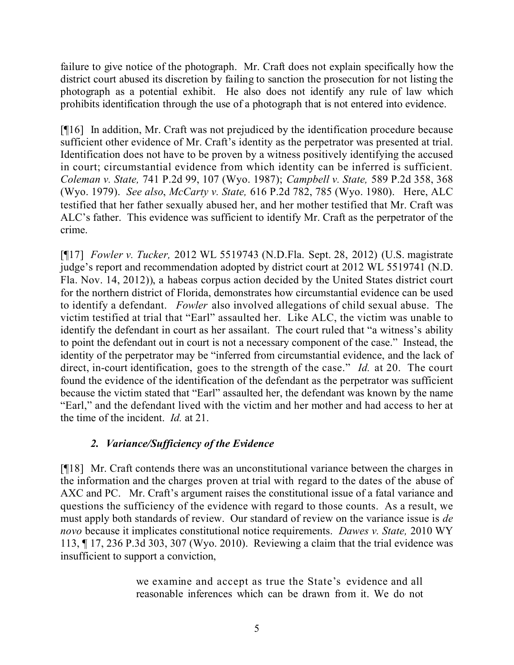failure to give notice of the photograph. Mr. Craft does not explain specifically how the district court abused its discretion by failing to sanction the prosecution for not listing the photograph as a potential exhibit. He also does not identify any rule of law which prohibits identification through the use of a photograph that is not entered into evidence.

[¶16] In addition, Mr. Craft was not prejudiced by the identification procedure because sufficient other evidence of Mr. Craft's identity as the perpetrator was presented at trial. Identification does not have to be proven by a witness positively identifying the accused in court; circumstantial evidence from which identity can be inferred is sufficient. *Coleman v. State,* 741 P.2d 99, 107 (Wyo. 1987); *Campbell v. State,* 589 P.2d 358, 368 (Wyo. 1979). *See also*, *McCarty v. State,* 616 P.2d 782, 785 (Wyo. 1980). Here, ALC testified that her father sexually abused her, and her mother testified that Mr. Craft was ALC's father. This evidence was sufficient to identify Mr. Craft as the perpetrator of the crime.

[¶17] *Fowler v. Tucker,* 2012 WL 5519743 (N.D.Fla. Sept. 28, 2012) (U.S. magistrate judge's report and recommendation adopted by district court at 2012 WL 5519741 (N.D. Fla. Nov. 14, 2012)), a habeas corpus action decided by the United States district court for the northern district of Florida, demonstrates how circumstantial evidence can be used to identify a defendant. *Fowler* also involved allegations of child sexual abuse. The victim testified at trial that "Earl" assaulted her. Like ALC, the victim was unable to identify the defendant in court as her assailant. The court ruled that "a witness's ability to point the defendant out in court is not a necessary component of the case." Instead, the identity of the perpetrator may be "inferred from circumstantial evidence, and the lack of direct, in-court identification, goes to the strength of the case." *Id.* at 20. The court found the evidence of the identification of the defendant as the perpetrator was sufficient because the victim stated that "Earl" assaulted her, the defendant was known by the name "Earl," and the defendant lived with the victim and her mother and had access to her at the time of the incident. *Id.* at 21.

# *2. Variance/Sufficiency of the Evidence*

[¶18] Mr. Craft contends there was an unconstitutional variance between the charges in the information and the charges proven at trial with regard to the dates of the abuse of AXC and PC. Mr. Craft's argument raises the constitutional issue of a fatal variance and questions the sufficiency of the evidence with regard to those counts. As a result, we must apply both standards of review. Our standard of review on the variance issue is *de novo* because it implicates constitutional notice requirements. *Dawes v. State,* 2010 WY 113, ¶ 17, 236 P.3d 303, 307 (Wyo. 2010). Reviewing a claim that the trial evidence was insufficient to support a conviction,

> we examine and accept as true the State's evidence and all reasonable inferences which can be drawn from it. We do not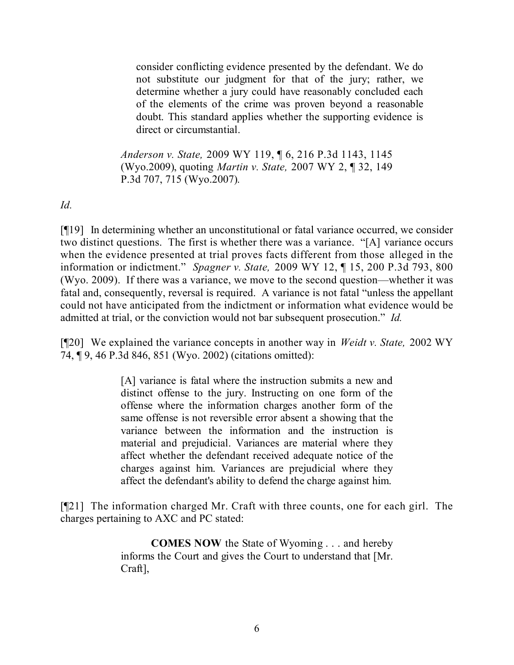consider conflicting evidence presented by the defendant. We do not substitute our judgment for that of the jury; rather, we determine whether a jury could have reasonably concluded each of the elements of the crime was proven beyond a reasonable doubt. This standard applies whether the supporting evidence is direct or circumstantial.

*Anderson v. State,* 2009 WY 119, ¶ 6, 216 P.3d 1143, 1145 (Wyo.2009), quoting *Martin v. State,* 2007 WY 2, ¶ 32, 149 P.3d 707, 715 (Wyo.2007).

*Id.*

[¶19] In determining whether an unconstitutional or fatal variance occurred, we consider two distinct questions. The first is whether there was a variance. "[A] variance occurs when the evidence presented at trial proves facts different from those alleged in the information or indictment." *Spagner v. State,* 2009 WY 12, ¶ 15, 200 P.3d 793, 800 (Wyo. 2009). If there was a variance, we move to the second question—whether it was fatal and, consequently, reversal is required. A variance is not fatal "unless the appellant could not have anticipated from the indictment or information what evidence would be admitted at trial, or the conviction would not bar subsequent prosecution." *Id.* 

[¶20] We explained the variance concepts in another way in *Weidt v. State,* 2002 WY 74, ¶ 9, 46 P.3d 846, 851 (Wyo. 2002) (citations omitted):

> [A] variance is fatal where the instruction submits a new and distinct offense to the jury. Instructing on one form of the offense where the information charges another form of the same offense is not reversible error absent a showing that the variance between the information and the instruction is material and prejudicial. Variances are material where they affect whether the defendant received adequate notice of the charges against him. Variances are prejudicial where they affect the defendant's ability to defend the charge against him.

[¶21] The information charged Mr. Craft with three counts, one for each girl. The charges pertaining to AXC and PC stated:

> **COMES NOW** the State of Wyoming . . . and hereby informs the Court and gives the Court to understand that [Mr. Craft],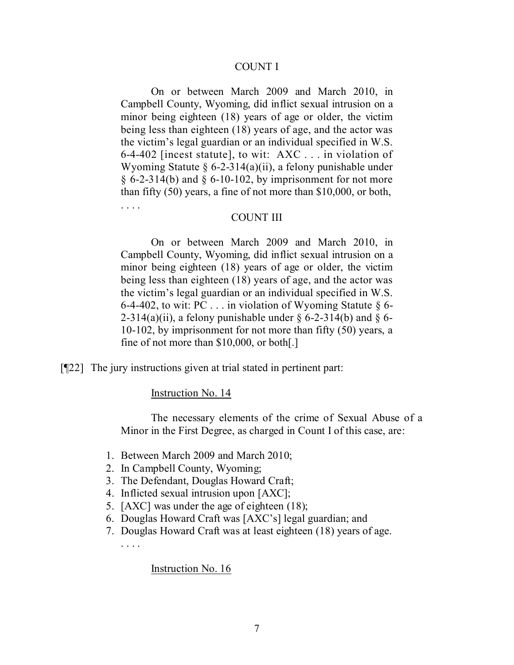#### COUNT I

On or between March 2009 and March 2010, in Campbell County, Wyoming, did inflict sexual intrusion on a minor being eighteen (18) years of age or older, the victim being less than eighteen (18) years of age, and the actor was the victim's legal guardian or an individual specified in W.S. 6-4-402 [incest statute], to wit: AXC . . . in violation of Wyoming Statute  $\S 6$ -2-314(a)(ii), a felony punishable under  $\S$  6-2-314(b) and  $\S$  6-10-102, by imprisonment for not more than fifty (50) years, a fine of not more than \$10,000, or both,

#### COUNT III

On or between March 2009 and March 2010, in Campbell County, Wyoming, did inflict sexual intrusion on a minor being eighteen (18) years of age or older, the victim being less than eighteen (18) years of age, and the actor was the victim's legal guardian or an individual specified in W.S. 6-4-402, to wit: PC  $\ldots$  in violation of Wyoming Statute § 6-2-314(a)(ii), a felony punishable under  $\S$  6-2-314(b) and  $\S$  6-10-102, by imprisonment for not more than fifty (50) years, a fine of not more than \$10,000, or both[.]

[¶22] The jury instructions given at trial stated in pertinent part:

#### Instruction No. 14

. . . .

The necessary elements of the crime of Sexual Abuse of a Minor in the First Degree, as charged in Count I of this case, are:

- 1. Between March 2009 and March 2010;
- 2. In Campbell County, Wyoming;
- 3. The Defendant, Douglas Howard Craft;
- 4. Inflicted sexual intrusion upon [AXC];
- 5. [AXC] was under the age of eighteen (18);
- 6. Douglas Howard Craft was [AXC's] legal guardian; and
- 7. Douglas Howard Craft was at least eighteen (18) years of age. . . . .

#### Instruction No. 16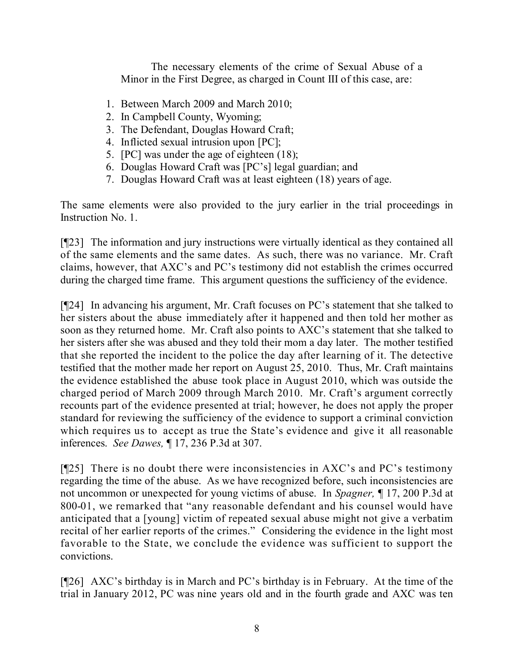The necessary elements of the crime of Sexual Abuse of a Minor in the First Degree, as charged in Count III of this case, are:

- 1. Between March 2009 and March 2010;
- 2. In Campbell County, Wyoming;
- 3. The Defendant, Douglas Howard Craft;
- 4. Inflicted sexual intrusion upon [PC];
- 5. [PC] was under the age of eighteen (18);
- 6. Douglas Howard Craft was [PC's] legal guardian; and
- 7. Douglas Howard Craft was at least eighteen (18) years of age.

The same elements were also provided to the jury earlier in the trial proceedings in Instruction No. 1.

[¶23] The information and jury instructions were virtually identical as they contained all of the same elements and the same dates. As such, there was no variance. Mr. Craft claims, however, that AXC's and PC's testimony did not establish the crimes occurred during the charged time frame. This argument questions the sufficiency of the evidence.

[¶24] In advancing his argument, Mr. Craft focuses on PC's statement that she talked to her sisters about the abuse immediately after it happened and then told her mother as soon as they returned home. Mr. Craft also points to AXC's statement that she talked to her sisters after she was abused and they told their mom a day later. The mother testified that she reported the incident to the police the day after learning of it. The detective testified that the mother made her report on August 25, 2010. Thus, Mr. Craft maintains the evidence established the abuse took place in August 2010, which was outside the charged period of March 2009 through March 2010. Mr. Craft's argument correctly recounts part of the evidence presented at trial; however, he does not apply the proper standard for reviewing the sufficiency of the evidence to support a criminal conviction which requires us to accept as true the State's evidence and give it all reasonable inferences. *See Dawes,* ¶ 17, 236 P.3d at 307.

[¶25] There is no doubt there were inconsistencies in AXC's and PC's testimony regarding the time of the abuse. As we have recognized before, such inconsistencies are not uncommon or unexpected for young victims of abuse. In *Spagner,* ¶ 17, 200 P.3d at 800-01, we remarked that "any reasonable defendant and his counsel would have anticipated that a [young] victim of repeated sexual abuse might not give a verbatim recital of her earlier reports of the crimes." Considering the evidence in the light most favorable to the State, we conclude the evidence was sufficient to support the convictions.

[¶26] AXC's birthday is in March and PC's birthday is in February. At the time of the trial in January 2012, PC was nine years old and in the fourth grade and AXC was ten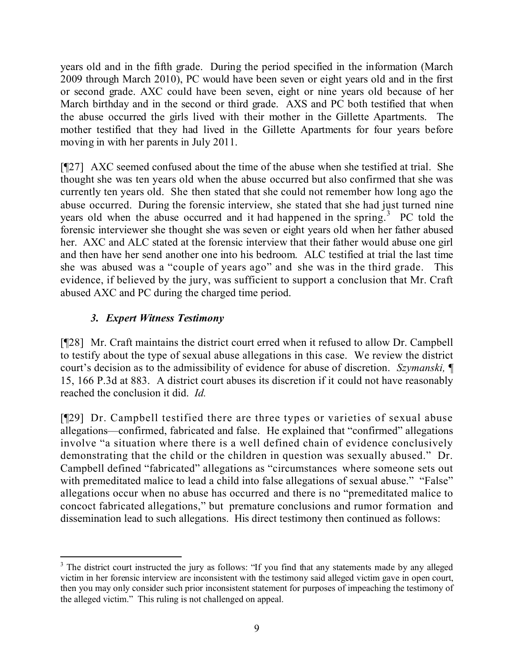years old and in the fifth grade. During the period specified in the information (March 2009 through March 2010), PC would have been seven or eight years old and in the first or second grade. AXC could have been seven, eight or nine years old because of her March birthday and in the second or third grade. AXS and PC both testified that when the abuse occurred the girls lived with their mother in the Gillette Apartments. The mother testified that they had lived in the Gillette Apartments for four years before moving in with her parents in July 2011.

[¶27] AXC seemed confused about the time of the abuse when she testified at trial. She thought she was ten years old when the abuse occurred but also confirmed that she was currently ten years old. She then stated that she could not remember how long ago the abuse occurred. During the forensic interview, she stated that she had just turned nine years old when the abuse occurred and it had happened in the spring.<sup>3</sup> PC told the forensic interviewer she thought she was seven or eight years old when her father abused her. AXC and ALC stated at the forensic interview that their father would abuse one girl and then have her send another one into his bedroom. ALC testified at trial the last time she was abused was a "couple of years ago" and she was in the third grade. This evidence, if believed by the jury, was sufficient to support a conclusion that Mr. Craft abused AXC and PC during the charged time period.

# *3. Expert Witness Testimony*

[¶28] Mr. Craft maintains the district court erred when it refused to allow Dr. Campbell to testify about the type of sexual abuse allegations in this case. We review the district court's decision as to the admissibility of evidence for abuse of discretion. *Szymanski,* ¶ 15, 166 P.3d at 883. A district court abuses its discretion if it could not have reasonably reached the conclusion it did. *Id.* 

[¶29] Dr. Campbell testified there are three types or varieties of sexual abuse allegations—confirmed, fabricated and false. He explained that "confirmed" allegations involve "a situation where there is a well defined chain of evidence conclusively demonstrating that the child or the children in question was sexually abused." Dr. Campbell defined "fabricated" allegations as "circumstances where someone sets out with premeditated malice to lead a child into false allegations of sexual abuse." "False" allegations occur when no abuse has occurred and there is no "premeditated malice to concoct fabricated allegations," but premature conclusions and rumor formation and dissemination lead to such allegations. His direct testimony then continued as follows:

 $\overline{a}$ <sup>3</sup> The district court instructed the jury as follows: "If you find that any statements made by any alleged victim in her forensic interview are inconsistent with the testimony said alleged victim gave in open court, then you may only consider such prior inconsistent statement for purposes of impeaching the testimony of the alleged victim." This ruling is not challenged on appeal.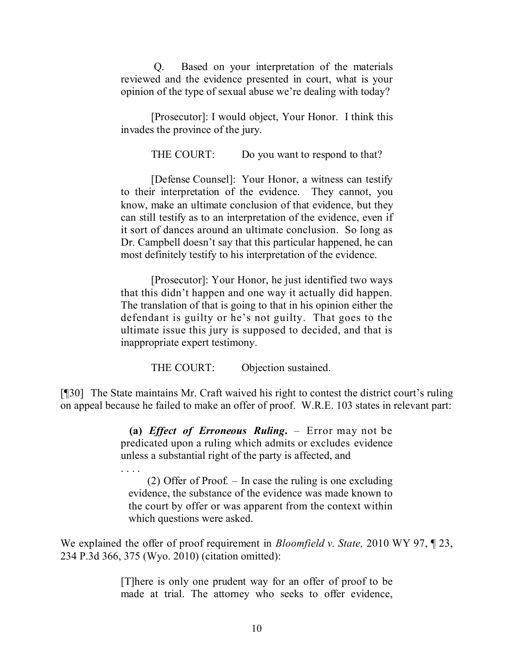Q. Based on your interpretation of the materials reviewed and the evidence presented in court, what is your opinion of the type of sexual abuse we're dealing with today?

[Prosecutor]: I would object, Your Honor. I think this invades the province of the jury.

THE COURT: Do you want to respond to that?

[Defense Counsel]: Your Honor, a witness can testify to their interpretation of the evidence. They cannot, you know, make an ultimate conclusion of that evidence, but they can still testify as to an interpretation of the evidence, even if it sort of dances around an ultimate conclusion. So long as Dr. Campbell doesn't say that this particular happened, he can most definitely testify to his interpretation of the evidence.

[Prosecutor]: Your Honor, he just identified two ways that this didn't happen and one way it actually did happen. The translation of that is going to that in his opinion either the defendant is guilty or he's not guilty. That goes to the ultimate issue this jury is supposed to decided, and that is inappropriate expert testimony.

THE COURT: Objection sustained.

[¶30] The State maintains Mr. Craft waived his right to contest the district court's ruling on appeal because he failed to make an offer of proof. W.R.E. 103 states in relevant part:

> **(a)** *Effect of Erroneous Ruling***.** – Error may not be predicated upon a ruling which admits or excludes evidence unless a substantial right of the party is affected, and

> . . . . (2) Offer of Proof*.* – In case the ruling is one excluding evidence, the substance of the evidence was made known to the court by offer or was apparent from the context within which questions were asked.

We explained the offer of proof requirement in *Bloomfield v. State,* 2010 WY 97, ¶ 23, 234 P.3d 366, 375 (Wyo. 2010) (citation omitted):

> [T]here is only one prudent way for an offer of proof to be made at trial. The attorney who seeks to offer evidence,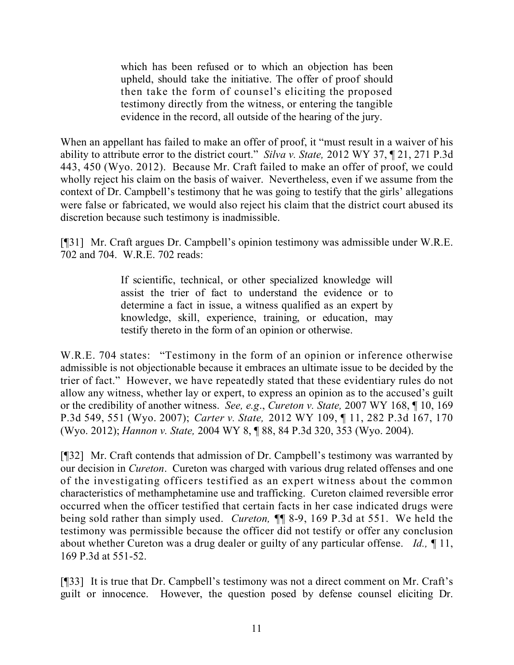which has been refused or to which an objection has been upheld, should take the initiative. The offer of proof should then take the form of counsel's eliciting the proposed testimony directly from the witness, or entering the tangible evidence in the record, all outside of the hearing of the jury.

When an appellant has failed to make an offer of proof, it "must result in a waiver of his ability to attribute error to the district court." *Silva v. State,* 2012 WY 37, ¶ 21, 271 P.3d 443, 450 (Wyo. 2012). Because Mr. Craft failed to make an offer of proof, we could wholly reject his claim on the basis of waiver. Nevertheless, even if we assume from the context of Dr. Campbell's testimony that he was going to testify that the girls' allegations were false or fabricated, we would also reject his claim that the district court abused its discretion because such testimony is inadmissible.

[¶31] Mr. Craft argues Dr. Campbell's opinion testimony was admissible under W.R.E. 702 and 704. W.R.E. 702 reads:

> If scientific, technical, or other specialized knowledge will assist the trier of fact to understand the evidence or to determine a fact in issue, a witness qualified as an expert by knowledge, skill, experience, training, or education, may testify thereto in the form of an opinion or otherwise.

W.R.E. 704 states: "Testimony in the form of an opinion or inference otherwise admissible is not objectionable because it embraces an ultimate issue to be decided by the trier of fact." However, we have repeatedly stated that these evidentiary rules do not allow any witness, whether lay or expert, to express an opinion as to the accused's guilt or the credibility of another witness. *See, e.g*., *Cureton v. State,* 2007 WY 168, ¶ 10, 169 P.3d 549, 551 (Wyo. 2007); *Carter v. State,* 2012 WY 109, ¶ 11, 282 P.3d 167, 170 (Wyo. 2012); *Hannon v. State,* 2004 WY 8, ¶ 88, 84 P.3d 320, 353 (Wyo. 2004).

[¶32] Mr. Craft contends that admission of Dr. Campbell's testimony was warranted by our decision in *Cureton*. Cureton was charged with various drug related offenses and one of the investigating officers testified as an expert witness about the common characteristics of methamphetamine use and trafficking. Cureton claimed reversible error occurred when the officer testified that certain facts in her case indicated drugs were being sold rather than simply used. *Cureton,* ¶¶ 8-9, 169 P.3d at 551. We held the testimony was permissible because the officer did not testify or offer any conclusion about whether Cureton was a drug dealer or guilty of any particular offense. *Id.,* ¶ 11, 169 P.3d at 551-52.

[¶33] It is true that Dr. Campbell's testimony was not a direct comment on Mr. Craft's guilt or innocence. However, the question posed by defense counsel eliciting Dr.